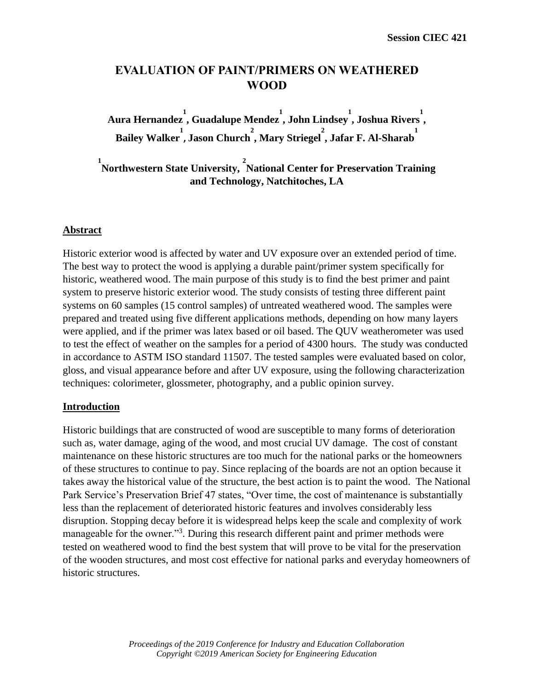# **EVALUATION OF PAINT/PRIMERS ON WEATHERED WOOD**

**Aura Hernandez 1 , Guadalupe Mendez 1 , John Lindsey 1 , Joshua Rivers 1 , Bailey Walker 1 , Jason Church 2 , Mary Striegel 2 , Jafar F. Al-Sharab 1** 

<sup>1</sup><br>Northwestern State University, <sup>2</sup>National Center for Preservation Training **and Technology, Natchitoches, LA**

## **Abstract**

Historic exterior wood is affected by water and UV exposure over an extended period of time. The best way to protect the wood is applying a durable paint/primer system specifically for historic, weathered wood. The main purpose of this study is to find the best primer and paint system to preserve historic exterior wood. The study consists of testing three different paint systems on 60 samples (15 control samples) of untreated weathered wood. The samples were prepared and treated using five different applications methods, depending on how many layers were applied, and if the primer was latex based or oil based. The QUV weatherometer was used to test the effect of weather on the samples for a period of 4300 hours. The study was conducted in accordance to ASTM ISO standard 11507. The tested samples were evaluated based on color, gloss, and visual appearance before and after UV exposure, using the following characterization techniques: colorimeter, glossmeter, photography, and a public opinion survey.

### **Introduction**

Historic buildings that are constructed of wood are susceptible to many forms of deterioration such as, water damage, aging of the wood, and most crucial UV damage. The cost of constant maintenance on these historic structures are too much for the national parks or the homeowners of these structures to continue to pay. Since replacing of the boards are not an option because it takes away the historical value of the structure, the best action is to paint the wood. The National Park Service's Preservation Brief 47 states, "Over time, the cost of maintenance is substantially less than the replacement of deteriorated historic features and involves considerably less disruption. Stopping decay before it is widespread helps keep the scale and complexity of work manageable for the owner."<sup>3</sup>. During this research different paint and primer methods were tested on weathered wood to find the best system that will prove to be vital for the preservation of the wooden structures, and most cost effective for national parks and everyday homeowners of historic structures.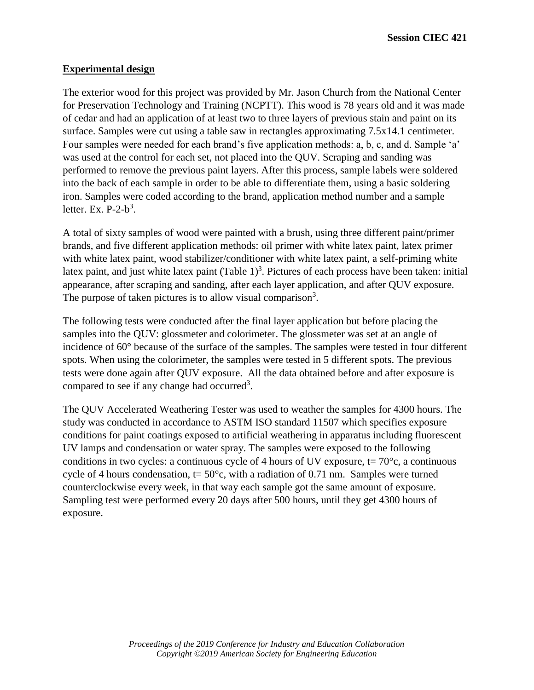## **Experimental design**

The exterior wood for this project was provided by Mr. Jason Church from the National Center for Preservation Technology and Training (NCPTT). This wood is 78 years old and it was made of cedar and had an application of at least two to three layers of previous stain and paint on its surface. Samples were cut using a table saw in rectangles approximating 7.5x14.1 centimeter. Four samples were needed for each brand's five application methods: a, b, c, and d. Sample 'a' was used at the control for each set, not placed into the QUV. Scraping and sanding was performed to remove the previous paint layers. After this process, sample labels were soldered into the back of each sample in order to be able to differentiate them, using a basic soldering iron. Samples were coded according to the brand, application method number and a sample letter. Ex.  $P-2-b^3$ .

A total of sixty samples of wood were painted with a brush, using three different paint/primer brands, and five different application methods: oil primer with white latex paint, latex primer with white latex paint, wood stabilizer/conditioner with white latex paint, a self-priming white latex paint, and just white latex paint  $(Table 1)^3$ . Pictures of each process have been taken: initial appearance, after scraping and sanding, after each layer application, and after QUV exposure. The purpose of taken pictures is to allow visual comparison<sup>3</sup>.

The following tests were conducted after the final layer application but before placing the samples into the QUV: glossmeter and colorimeter. The glossmeter was set at an angle of incidence of 60° because of the surface of the samples. The samples were tested in four different spots. When using the colorimeter, the samples were tested in 5 different spots. The previous tests were done again after QUV exposure. All the data obtained before and after exposure is compared to see if any change had occurred<sup>3</sup>.

The QUV Accelerated Weathering Tester was used to weather the samples for 4300 hours. The study was conducted in accordance to ASTM ISO standard 11507 which specifies exposure conditions for paint coatings exposed to artificial weathering in apparatus including fluorescent UV lamps and condensation or water spray. The samples were exposed to the following conditions in two cycles: a continuous cycle of 4 hours of UV exposure,  $t = 70^{\circ}c$ , a continuous cycle of 4 hours condensation,  $t = 50^{\circ}$ c, with a radiation of 0.71 nm. Samples were turned counterclockwise every week, in that way each sample got the same amount of exposure. Sampling test were performed every 20 days after 500 hours, until they get 4300 hours of exposure.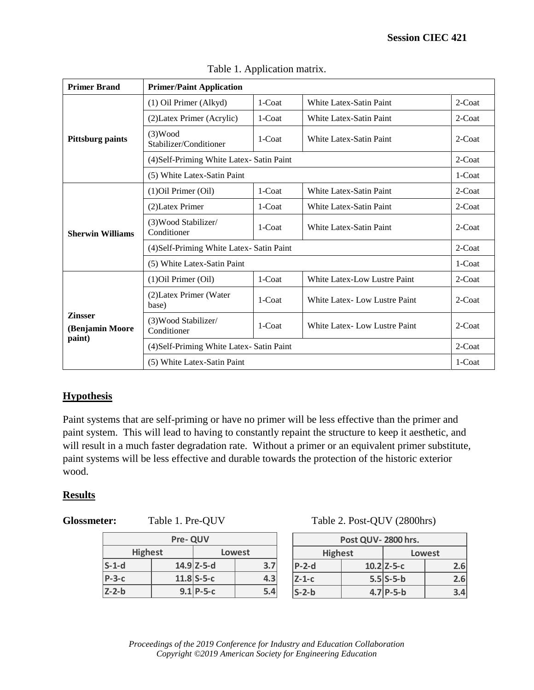| <b>Primer Brand</b>                         | <b>Primer/Paint Application</b>          |           |                                |           |  |  |
|---------------------------------------------|------------------------------------------|-----------|--------------------------------|-----------|--|--|
|                                             | (1) Oil Primer (Alkyd)                   | 1-Coat    | <b>White Latex-Satin Paint</b> | 2-Coat    |  |  |
| <b>Pittsburg paints</b>                     | (2) Latex Primer (Acrylic)               | 1-Coat    | White Latex-Satin Paint        | 2-Coat    |  |  |
|                                             | (3) Wood<br>Stabilizer/Conditioner       | 1-Coat    | White Latex-Satin Paint        | $2$ -Coat |  |  |
|                                             | (4) Self-Priming White Latex-Satin Paint |           |                                | $2$ -Coat |  |  |
|                                             | (5) White Latex-Satin Paint              |           |                                | 1-Coat    |  |  |
| <b>Sherwin Williams</b>                     | (1) Oil Primer (Oil)                     | 1-Coat    | White Latex-Satin Paint        | $2$ -Coat |  |  |
|                                             | (2) Latex Primer                         | 1-Coat    | <b>White Latex-Satin Paint</b> | 2-Coat    |  |  |
|                                             | (3) Wood Stabilizer/<br>Conditioner      | 1-Coat    | White Latex-Satin Paint        | $2$ -Coat |  |  |
|                                             | (4) Self-Priming White Latex-Satin Paint |           |                                |           |  |  |
|                                             | (5) White Latex-Satin Paint              |           |                                |           |  |  |
|                                             | (1) Oil Primer (Oil)                     | $1$ -Coat | White Latex-Low Lustre Paint   | 2-Coat    |  |  |
| <b>Zinsser</b><br>(Benjamin Moore<br>paint) | (2) Latex Primer (Water<br>base)         | 1-Coat    | White Latex- Low Lustre Paint  | $2$ -Coat |  |  |
|                                             | (3) Wood Stabilizer/<br>Conditioner      | 1-Coat    | White Latex-Low Lustre Paint   | 2-Coat    |  |  |
|                                             | (4) Self-Priming White Latex-Satin Paint |           |                                | $2$ -Coat |  |  |
|                                             | (5) White Latex-Satin Paint              |           |                                | 1-Coat    |  |  |

Table 1. Application matrix.

## **Hypothesis**

Paint systems that are self-priming or have no primer will be less effective than the primer and paint system. This will lead to having to constantly repaint the structure to keep it aesthetic, and will result in a much faster degradation rate. Without a primer or an equivalent primer substitute, paint systems will be less effective and durable towards the protection of the historic exterior wood.

### **Results**

| <b>Pre-QUV</b> |  |               |     |                                                                      | Post QUV |
|----------------|--|---------------|-----|----------------------------------------------------------------------|----------|
| <b>Highest</b> |  | Lowest        |     | <b>Highest</b>                                                       |          |
| $S-1-d$        |  | $14.9$  Z-5-d | 3.7 | $P-2-d$                                                              | 10.      |
| $P-3-c$        |  | $11.8$ S-5-c  | 4.3 | $Z-1-c$                                                              | 5.       |
| $Z - 2-b$      |  | $9.1$ P-5-c   | 5.4 | $S - 2-b$                                                            | 4.       |
|                |  |               |     |                                                                      |          |
|                |  |               |     |                                                                      |          |
|                |  |               |     |                                                                      |          |
|                |  |               |     | Proceedings of the 2019 Conference for Industry and Education Collal |          |
|                |  |               |     | Copyright ©2019 American Society for Engineering Education           |          |

Glossmeter: Table 1. Pre-QUV Table 2. Post-QUV (2800hrs)

| Post QUV-2800 hrs.       |  |              |     |  |
|--------------------------|--|--------------|-----|--|
| <b>Highest</b><br>Lowest |  |              |     |  |
| $P-2-d$                  |  | $10.2$ Z-5-c | 2.6 |  |
| $Z-1-c$                  |  | $5.5$ S-5-b  | 2.6 |  |
| $S-2-b$                  |  | $4.7$ P-5-b  |     |  |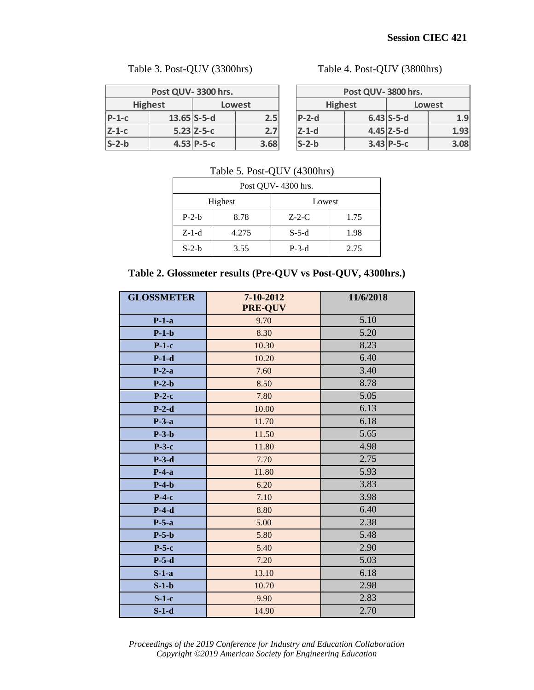## Table 3. Post-QUV (3300hrs) Table 4. Post-QUV (3800hrs)

| Post QUV-3300 hrs.       |  |               |      |  |  |
|--------------------------|--|---------------|------|--|--|
| <b>Highest</b><br>Lowest |  |               |      |  |  |
| $P-1-C$                  |  | $13.65$ S-5-d | 2.5  |  |  |
| $Z-1-c$                  |  | $5.23$ Z-5-c  | 2.7  |  |  |
| $S-2-b$                  |  | $4.53 P-5-C$  | 3.68 |  |  |

| Post QUV-3800 hrs.       |  |              |      |  |  |
|--------------------------|--|--------------|------|--|--|
| <b>Highest</b><br>Lowest |  |              |      |  |  |
| $P-2-d$                  |  | $6.43$ S-5-d | 1.9  |  |  |
| $Z-1-d$                  |  | $4.45$ Z-5-d | 1.93 |  |  |
| $S-2-b$                  |  | $3.43$ P-5-c | 3.08 |  |  |

#### Table 5. Post-QUV (4300hrs)

| Post QUV-4300 hrs. |       |          |      |  |  |
|--------------------|-------|----------|------|--|--|
| Highest<br>Lowest  |       |          |      |  |  |
| $P-2-h$            | 8.78  | $Z$ -2-C | 1.75 |  |  |
| $Z-1-d$            | 4.275 | $S-5-d$  | 1.98 |  |  |
| $S-2-b$            | 3.55  | $P-3-d$  | 2.75 |  |  |

#### **Table 2. Glossmeter results (Pre-QUV vs Post-QUV, 4300hrs.)**

| $P-1-c$ | $13.65$ S-5-d      |         |       |         | 2.5                         |         | $P-2-d$                                                                                                                                   |              |              | $6.43$ S-5-d |
|---------|--------------------|---------|-------|---------|-----------------------------|---------|-------------------------------------------------------------------------------------------------------------------------------------------|--------------|--------------|--------------|
| $Z-1-c$ | $5.23$ Z-5-c       |         |       |         | 2.7<br>$Z-1-d$              |         |                                                                                                                                           | $4.45$ Z-5-d |              |              |
| $S-2-b$ | $4.53 P-5-C$       |         |       | 3.68    |                             | $S-2-b$ |                                                                                                                                           |              | $3.43$ P-5-c |              |
|         |                    |         |       |         | Post QUV-4300 hrs.          |         | Table 5. Post-QUV (4300hrs)                                                                                                               |              |              |              |
|         |                    |         |       | Highest |                             | Lowest  |                                                                                                                                           |              |              |              |
| $P-2-b$ |                    |         |       | 8.78    |                             | $Z-2-C$ |                                                                                                                                           | 1.75         |              |              |
|         |                    | $Z-1-d$ |       |         | 4.275                       |         | $S-5-d$                                                                                                                                   |              | 1.98         |              |
|         |                    | $S-2-b$ |       |         | 3.55                        |         | $P-3-d$                                                                                                                                   |              | 2.75         |              |
|         |                    |         |       |         |                             |         | Table 2. Glossmeter results (Pre-QUV vs Post-QUV, 4300hrs.)                                                                               |              |              |              |
|         | <b>GLOSSMETER</b>  |         |       |         | 7-10-2012<br><b>PRE-QUV</b> |         |                                                                                                                                           |              | 11/6/2018    |              |
|         | $P-1-a$            |         |       |         | 9.70                        |         |                                                                                                                                           |              | 5.10         |              |
|         | $P-1-b$            |         |       |         | 8.30                        |         |                                                                                                                                           |              | 5.20         |              |
|         | $P-1-c$            |         |       |         | 10.30                       |         |                                                                                                                                           | 8.23         |              |              |
|         | $P-1-d$            |         |       | 10.20   |                             | 6.40    |                                                                                                                                           |              |              |              |
|         | $P-2-a$            |         |       | 7.60    |                             | 3.40    |                                                                                                                                           |              |              |              |
|         | $P-2-b$            |         |       | 8.50    |                             | 8.78    |                                                                                                                                           |              |              |              |
|         | $P-2-c$            |         |       |         | 7.80                        |         |                                                                                                                                           | 5.05<br>6.13 |              |              |
|         | $P-2-d$            |         |       |         | 10.00                       |         |                                                                                                                                           | 6.18         |              |              |
|         | $P-3-a$            |         |       |         | 11.70                       |         |                                                                                                                                           | 5.65         |              |              |
|         | $P-3-b$<br>$P-3-c$ |         |       |         | 11.50<br>11.80              |         |                                                                                                                                           |              | 4.98         |              |
|         | $P-3-d$            |         |       |         | 7.70                        |         |                                                                                                                                           |              | 2.75         |              |
|         | $P-4-a$            |         |       |         | 11.80                       |         |                                                                                                                                           | 5.93         |              |              |
|         | $P-4-b$            |         |       | 6.20    |                             | 3.83    |                                                                                                                                           |              |              |              |
|         | $P-4-c$            |         |       | 7.10    |                             | 3.98    |                                                                                                                                           |              |              |              |
|         | $P-4-d$            |         |       |         | 8.80                        |         | 6.40                                                                                                                                      |              |              |              |
|         | $P-5-a$            |         |       | 5.00    |                             | 2.38    |                                                                                                                                           |              |              |              |
|         | $P-5-b$            |         |       | 5.80    |                             |         | 5.48                                                                                                                                      |              |              |              |
| $P-5-c$ |                    | 5.40    |       |         | 2.90                        |         |                                                                                                                                           |              |              |              |
|         | $P-5-d$            |         | 7.20  |         |                             | 5.03    |                                                                                                                                           |              |              |              |
|         | $S-1-a$            |         |       | 13.10   |                             |         |                                                                                                                                           | 6.18         |              |              |
|         | $S-1-b$            |         |       |         | 10.70                       |         |                                                                                                                                           |              | 2.98         |              |
| $S-1-c$ |                    |         | 9.90  |         |                             |         | 2.83                                                                                                                                      |              |              |              |
| $S-1-d$ |                    |         | 14.90 |         |                             | 2.70    |                                                                                                                                           |              |              |              |
|         |                    |         |       |         |                             |         | Proceedings of the 2019 Conference for Industry and Education Collaboration<br>Copyright ©2019 American Society for Engineering Education |              |              |              |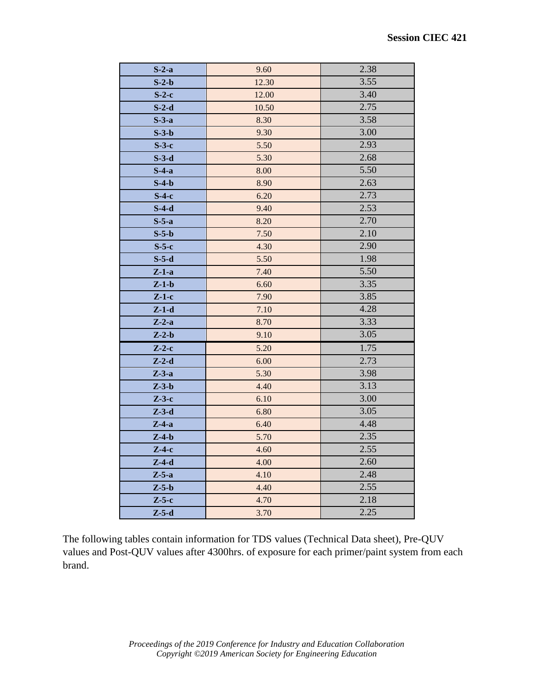| $S-2-a$ | 9.60  | 2.38 |
|---------|-------|------|
| $S-2-b$ | 12.30 | 3.55 |
| $S-2-c$ | 12.00 | 3.40 |
| $S-2-d$ | 10.50 | 2.75 |
| $S-3-a$ | 8.30  | 3.58 |
| $S-3-b$ | 9.30  | 3.00 |
| $S-3-c$ | 5.50  | 2.93 |
| $S-3-d$ | 5.30  | 2.68 |
| $S-4-a$ | 8.00  | 5.50 |
| $S-4-b$ | 8.90  | 2.63 |
| $S-4-c$ | 6.20  | 2.73 |
| $S-4-d$ | 9.40  | 2.53 |
| $S-5-a$ | 8.20  | 2.70 |
| $S-5-b$ | 7.50  | 2.10 |
| $S-5-c$ | 4.30  | 2.90 |
| $S-5-d$ | 5.50  | 1.98 |
| $Z-1-a$ | 7.40  | 5.50 |
| $Z-1-b$ | 6.60  | 3.35 |
| $Z-1-c$ | 7.90  | 3.85 |
| $Z-1-d$ | 7.10  | 4.28 |
| $Z-2-a$ | 8.70  | 3.33 |
| $Z-2-b$ | 9.10  | 3.05 |
| $Z-2-c$ | 5.20  | 1.75 |
| $Z-2-d$ | 6.00  | 2.73 |
| $Z-3-a$ | 5.30  | 3.98 |
| $Z-3-b$ | 4.40  | 3.13 |
| $Z-3-c$ | 6.10  | 3.00 |
| $Z-3-d$ | 6.80  | 3.05 |
| $Z-4-a$ | 6.40  | 4.48 |
| $Z-4-b$ | 5.70  | 2.35 |
| $Z-4-c$ | 4.60  | 2.55 |
| $Z-4-d$ | 4.00  | 2.60 |
| $Z-5-a$ | 4.10  | 2.48 |
| $Z-5-b$ | 4.40  | 2.55 |
| $Z-5-c$ | 4.70  | 2.18 |
| $Z-5-d$ | 3.70  | 2.25 |

The following tables contain information for TDS values (Technical Data sheet), Pre-QUV values and Post-QUV values after 4300hrs. of exposure for each primer/paint system from each brand.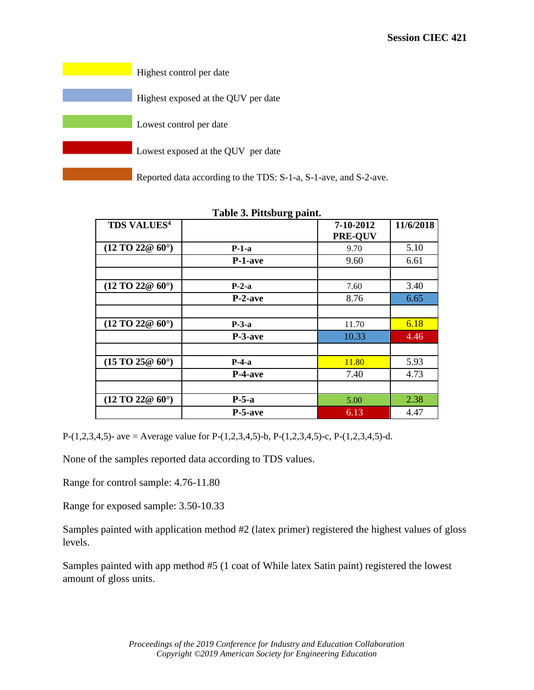| Highest control per date                                         |
|------------------------------------------------------------------|
| Highest exposed at the QUV per date                              |
| Lowest control per date                                          |
| Lowest exposed at the QUV per date                               |
| Reported data according to the TDS: S-1-a, S-1-ave, and S-2-ave. |

| <b>TDS VALUES<sup>4</sup></b>           | 8 F        | 7-10-2012      | 11/6/2018 |
|-----------------------------------------|------------|----------------|-----------|
|                                         |            | <b>PRE-OUV</b> |           |
| $(12 \text{ TO } 22@ 60^{\circ})$       | $P-1-a$    | 9.70           | 5.10      |
|                                         | P-1-ave    | 9.60           | 6.61      |
| $(12 \text{ TO } 22@ 60°)$              |            |                |           |
|                                         | $P-2-a$    | 7.60           | 3.40      |
|                                         | P-2-ave    | 8.76           | 6.65      |
|                                         |            |                |           |
| $(12 \text{ TO } 22@ 60°)$              | $P-3-a$    | 11.70          | 6.18      |
|                                         | $P-3$ -ave | 10.33          | 4.46      |
|                                         |            |                |           |
| $(15 \,\mathrm{TO} \, 25@ \, 60^\circ)$ | $P-4-a$    | 11.80          | 5.93      |
|                                         | P-4-ave    | 7.40           | 4.73      |
|                                         |            |                |           |
| $(12 \text{ TO } 22@ 60°)$              | $P-5-a$    | 5.00           | 2.38      |
|                                         | P-5-ave    | 6.13           | 4.47      |

**Table 3. Pittsburg paint.**

P-(1,2,3,4,5)- ave = Average value for P-(1,2,3,4,5)-b, P-(1,2,3,4,5)-c, P-(1,2,3,4,5)-d.

None of the samples reported data according to TDS values.

Range for control sample: 4.76-11.80

Range for exposed sample: 3.50-10.33

Samples painted with application method #2 (latex primer) registered the highest values of gloss levels.

Samples painted with app method #5 (1 coat of While latex Satin paint) registered the lowest amount of gloss units.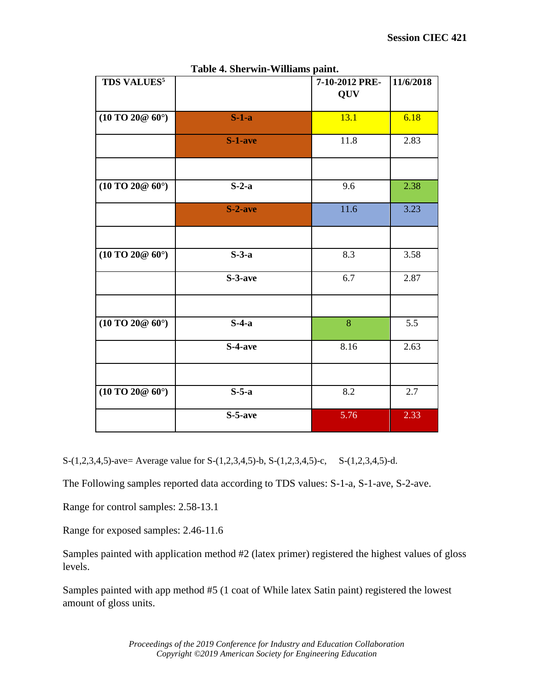|                                                                       | таяк – эпст wm- vennams ранк. |                              |           |
|-----------------------------------------------------------------------|-------------------------------|------------------------------|-----------|
| <b>TDS VALUES<sup>5</sup></b>                                         |                               | 7-10-2012 PRE-<br><b>QUV</b> | 11/6/2018 |
| $(10 \,\mathrm{TO} \, 20 @ \, 60^\circ)$                              | $S-1-a$                       | 13.1                         | 6.18      |
|                                                                       | $S-1$ -ave                    | 11.8                         | 2.83      |
|                                                                       |                               |                              |           |
| $(10 \,\text{T} \text{O} \, 20 \text{\textcircled{e}} \, 60^{\circ})$ | $S-2-a$                       | 9.6                          | 2.38      |
|                                                                       | $S-2$ -ave                    | 11.6                         | 3.23      |
|                                                                       |                               |                              |           |
| $(10 \,\text{T} \text{O} \, 20 \text{\textcircled{e}} \, 60^{\circ})$ | $S-3-a$                       | 8.3                          | 3.58      |
|                                                                       | S-3-ave                       | 6.7                          | 2.87      |
|                                                                       |                               |                              |           |
| $(10\,\text{TO }20@60^\circ)$                                         | $S-4-a$                       | 8                            | 5.5       |
|                                                                       | S-4-ave                       | 8.16                         | 2.63      |
|                                                                       |                               |                              |           |
| $(10\,\text{TO }20@60^\circ)$                                         | $S-5-a$                       | 8.2                          | 2.7       |
|                                                                       | S-5-ave                       | 5.76                         | 2.33      |

**Table 4. Sherwin-Williams paint.**

S-(1,2,3,4,5)-ave= Average value for S-(1,2,3,4,5)-b, S-(1,2,3,4,5)-c, S-(1,2,3,4,5)-d.

The Following samples reported data according to TDS values: S-1-a, S-1-ave, S-2-ave.

Range for control samples: 2.58-13.1

Range for exposed samples: 2.46-11.6

Samples painted with application method #2 (latex primer) registered the highest values of gloss levels.

Samples painted with app method #5 (1 coat of While latex Satin paint) registered the lowest amount of gloss units.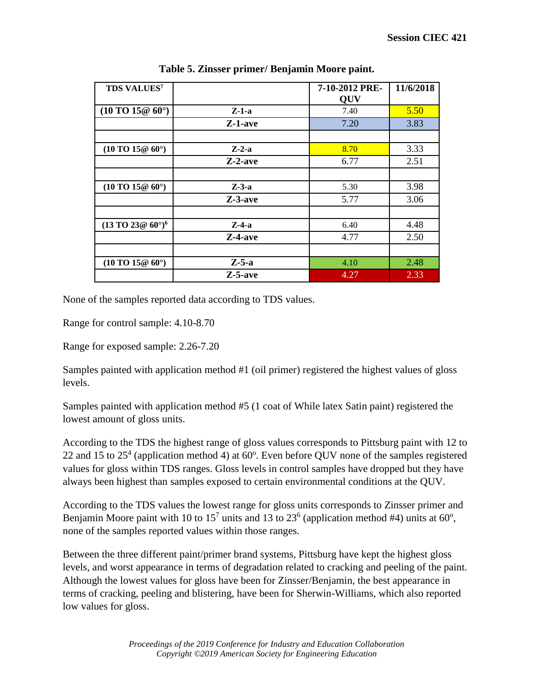| <b>TDS VALUES</b> 7                                               |            | 7-10-2012 PRE- | 11/6/2018 |
|-------------------------------------------------------------------|------------|----------------|-----------|
|                                                                   |            | <b>QUV</b>     |           |
| $(10 \text{ TO } 15@ 60°)$                                        | $Z-1-a$    | 7.40           | 5.50      |
|                                                                   | Z-1-ave    | 7.20           | 3.83      |
|                                                                   |            |                |           |
| $(10 \text{ TO } 15@ 60°)$                                        | $Z-2-a$    | 8.70           | 3.33      |
|                                                                   | $Z-2$ -ave | 6.77           | 2.51      |
|                                                                   |            |                |           |
| $(10 \text{ TO } 15@ 60°)$                                        | $Z-3-a$    | 5.30           | 3.98      |
|                                                                   | $Z-3$ -ave | 5.77           | 3.06      |
|                                                                   |            |                |           |
| $(13 \text{ TO } 23 \text{ @ } 60^{\circ})^6$                     | $Z$ -4-a   | 6.40           | 4.48      |
|                                                                   | $Z-4$ -ave | 4.77           | 2.50      |
|                                                                   |            |                |           |
| $(10 \,\text{T} \text{O} \, 15 \text{\textdegree} \, 60^{\circ})$ | $Z-5-a$    | 4.10           | 2.48      |
|                                                                   | $Z-5$ -ave | 4.27           | 2.33      |

|  | Table 5. Zinsser primer/ Benjamin Moore paint. |  |
|--|------------------------------------------------|--|
|  |                                                |  |

None of the samples reported data according to TDS values.

Range for control sample: 4.10-8.70

Range for exposed sample: 2.26-7.20

Samples painted with application method #1 (oil primer) registered the highest values of gloss levels.

Samples painted with application method #5 (1 coat of While latex Satin paint) registered the lowest amount of gloss units.

According to the TDS the highest range of gloss values corresponds to Pittsburg paint with 12 to 22 and 15 to  $25<sup>4</sup>$  (application method 4) at 60 $^{\circ}$ . Even before QUV none of the samples registered values for gloss within TDS ranges. Gloss levels in control samples have dropped but they have always been highest than samples exposed to certain environmental conditions at the QUV.

According to the TDS values the lowest range for gloss units corresponds to Zinsser primer and Benjamin Moore paint with 10 to 15<sup>7</sup> units and 13 to 23<sup>6</sup> (application method #4) units at 60<sup>o</sup>, none of the samples reported values within those ranges.

Between the three different paint/primer brand systems, Pittsburg have kept the highest gloss levels, and worst appearance in terms of degradation related to cracking and peeling of the paint. Although the lowest values for gloss have been for Zinsser/Benjamin, the best appearance in terms of cracking, peeling and blistering, have been for Sherwin-Williams, which also reported low values for gloss.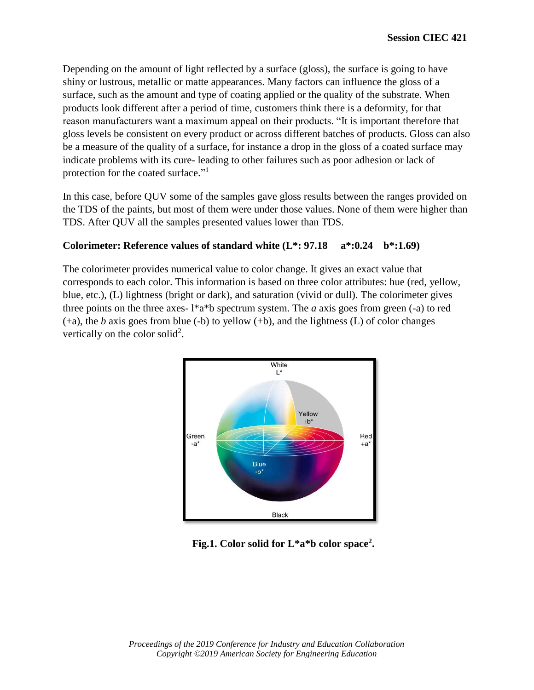Depending on the amount of light reflected by a surface (gloss), the surface is going to have shiny or lustrous, metallic or matte appearances. Many factors can influence the gloss of a surface, such as the amount and type of coating applied or the quality of the substrate. When products look different after a period of time, customers think there is a deformity, for that reason manufacturers want a maximum appeal on their products. "It is important therefore that gloss levels be consistent on every product or across different batches of products. Gloss can also be a measure of the quality of a surface, for instance a drop in the gloss of a coated surface may indicate problems with its cure- leading to other failures such as poor adhesion or lack of protection for the coated surface."<sup>1</sup>

In this case, before QUV some of the samples gave gloss results between the ranges provided on the TDS of the paints, but most of them were under those values. None of them were higher than TDS. After QUV all the samples presented values lower than TDS.

### **Colorimeter: Reference values of standard white (L\*: 97.18 a\*:0.24 b\*:1.69)**

The colorimeter provides numerical value to color change. It gives an exact value that corresponds to each color. This information is based on three color attributes: hue (red, yellow, blue, etc.), (L) lightness (bright or dark), and saturation (vivid or dull). The colorimeter gives three points on the three axes- l\*a\*b spectrum system. The *a* axis goes from green (-a) to red (+a), the *b* axis goes from blue (-b) to yellow (+b), and the lightness (L) of color changes vertically on the color solid<sup>2</sup>.



## **Fig.1. Color solid for L\*a\*b color space<sup>2</sup> .**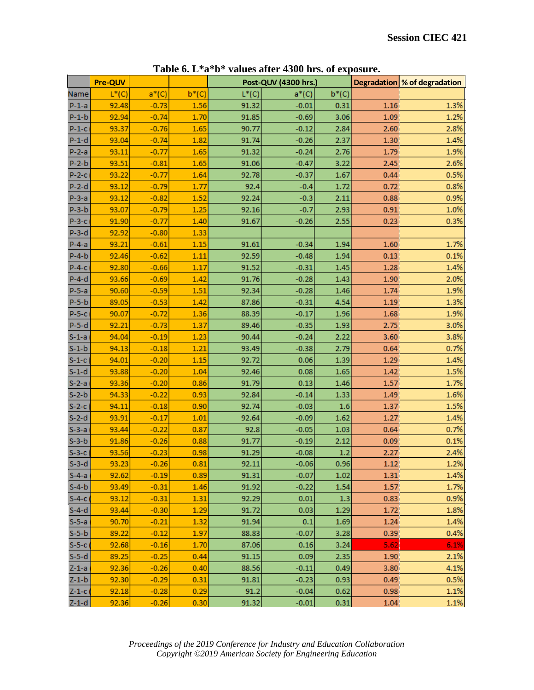|                    |                |                    |              |                | $1000$ and $0100$    |             |                   |                              |
|--------------------|----------------|--------------------|--------------|----------------|----------------------|-------------|-------------------|------------------------------|
|                    | <b>Pre-QUV</b> |                    |              |                | Post-QUV (4300 hrs.) |             |                   | Degradation % of degradation |
| Name               | $L^*(C)$       | $a*(C)$            | $b^*(C)$     | $L^*(C)$       | $a*(C)$              | $b^*(C)$    |                   |                              |
| $P-1-a$            | 92.48          | $-0.73$            | 1.56         | 91.32          | $-0.01$              | 0.31        | 1.16              | 1.3%                         |
| $P-1-b$            | 92.94          | $-0.74$            | 1.70         | 91.85          | $-0.69$              | 3.06        | 1.09              | 1.2%                         |
| $P-1-C$            | 93.37          | $-0.76$            | 1.65         | 90.77          | $-0.12$              | 2.84        | 2.60              | 2.8%                         |
| $P-1-d$            | 93.04          | $-0.74$            | 1.82         | 91.74          | $-0.26$              | 2.37        | 1.30              | 1.4%                         |
| $P-2-a$            | 93.11          | $-0.77$            | 1.65         | 91.32          | $-0.24$              | 2.76        | 1.79              | 1.9%                         |
| $P-2-b$            | 93.51          | $-0.81$            | 1.65         | 91.06          | $-0.47$              | 3.22        | 2.45              | 2.6%                         |
| $P-2-c$            | 93.22          | $-0.77$            | 1.64         | 92.78          | $-0.37$              | 1.67        | 0.44              | 0.5%                         |
| $P-2-d$            | 93.12          | $-0.79$            | 1.77         | 92.4           | $-0.4$               | 1.72        | 0.72              | 0.8%                         |
| $P-3-a$            | 93.12          | $-0.82$            | 1.52         | 92.24          | $-0.3$               | 2.11        | 0.88              | 0.9%                         |
| $P-3-b$            | 93.07          | $-0.79$            | 1.25         | 92.16          | $-0.7$               | 2.93        | 0.91              | 1.0%                         |
| $P-3-C$            | 91.90          | $-0.77$            | 1.40         | 91.67          | $-0.26$              | 2.55        | 0.23              | 0.3%                         |
| $P-3-d$            | 92.92          | $-0.80$            | 1.33         |                |                      |             |                   |                              |
| $P-4-a$            | 93.21          | $-0.61$            | 1.15         | 91.61          | $-0.34$              | 1.94        | 1.60              | 1.7%                         |
| $P-4-b$            | 92.46          | $-0.62$            | 1.11         | 92.59          | $-0.48$              | 1.94        | 0.13              | 0.1%                         |
| $P-4-C$            | 92.80          | $-0.66$            | 1.17         | 91.52          | $-0.31$              | 1.45        | 1.28              | 1.4%                         |
| $P-4-d$            | 93.66          | $-0.69$            | 1.42         | 91.76          | $-0.28$              | 1.43        | 1.90              | 2.0%                         |
| $P-5-a$            | 90.60          | $-0.59$            | 1.51         | 92.34          | $-0.28$              | 1.46        | 1.74              | 1.9%                         |
| $P-5-b$            | 89.05          | $-0.53$            | 1.42         | 87.86          | $-0.31$              | 4.54        | 1.19              | 1.3%                         |
| $P-5-C$            | 90.07          | $-0.72$            | 1.36         | 88.39          | $-0.17$              | 1.96        | 1.68              | 1.9%                         |
| $P-5-d$            | 92.21          | $-0.73$            | 1.37         | 89.46          | $-0.35$              | 1.93        | 2.75              | 3.0%                         |
| $S-1-a$            | 94.04          | $-0.19$            | 1.23         | 90.44          | $-0.24$              | 2.22        | 3.60              | 3.8%                         |
| $S-1-b$            | 94.13          | $-0.18$            | 1.21         | 93.49          | $-0.38$              | 2.79        | 0.64              | 0.7%                         |
| $S-1-C$            | 94.01          | $-0.20$            | 1.15         | 92.72          | 0.06                 | 1.39        | 1.29              | 1.4%                         |
| $S-1-d$            | 93.88          | $-0.20$            | 1.04         | 92.46          | 0.08                 | 1.65        | 1.42              | 1.5%                         |
| $S-2-a$            | 93.36          | $-0.20$            | 0.86         | 91.79          | 0.13                 | 1.46        | 1.57              | 1.7%                         |
| $S-2-b$            | 94.33          | $-0.22$            | 0.93         | 92.84          | $-0.14$              | 1.33        | 1.49              | 1.6%                         |
| $S-2-C$            | 94.11          | $-0.18$            | 0.90         | 92.74          | $-0.03$              | 1.6         | 1.37              | 1.5%                         |
| $S-2-d$            | 93.91          |                    | 1.01         |                |                      | 1.62        |                   | 1.4%                         |
|                    | 93.44          | $-0.17$<br>$-0.22$ | 0.87         | 92.64<br>92.8  | $-0.09$<br>$-0.05$   | 1.03        | 1.27<br>0.64      | 0.7%                         |
| $S-3-a$<br>$S-3-b$ | 91.86          |                    | 0.88         | 91.77          |                      |             |                   | 0.1%                         |
|                    |                | $-0.26$            |              |                | $-0.19$              | 2.12        | 0.09              | 2.4%                         |
| $S-3-C$<br>$S-3-d$ | 93.56<br>93.23 | $-0.23$<br>$-0.26$ | 0.98<br>0.81 | 91.29<br>92.11 | $-0.08$<br>$-0.06$   | 1.2<br>0.96 | 2.27<br>1.12      | 1.2%                         |
|                    |                |                    |              |                |                      |             |                   |                              |
| $S-4-a$            | 92.62          | $-0.19$            | 0.89         | 91.31          | $-0.07$              | 1.02        | 1.31              | 1.4%                         |
| $S-4-b$            | 93.49          | $-0.31$            | 1.46         | 91.92          | $-0.22$              | 1.54        | 1.57              | 1.7%                         |
| $S-4-c$            | 93.12          | $-0.31$            | 1.31         | 92.29          | 0.01                 | 1.3         | 0.83              | 0.9%                         |
| $S-4-d$            | 93.44          | $-0.30$            | 1.29         | 91.72          | 0.03                 | 1.29        | 1.72              | 1.8%                         |
| $S-5-a$            | 90.70          | $-0.21$            | 1.32         | 91.94          | 0.1                  | 1.69        | 1.24              | 1.4%                         |
| $S-5-b$            | 89.22          | $-0.12$            | 1.97         | 88.83          | $-0.07$              | 3.28        | 0.39 <sub>1</sub> | 0.4%                         |
| $S-5-C$            | 92.68          | $-0.16$            | 1.70         | 87.06          | 0.16                 | 3.24        | 5.62              | 6.1%                         |
| $S-5-d$            | 89.25          | $-0.25$            | 0.44         | 91.15          | 0.09                 | 2.35        | 1.90              | 2.1%                         |
| $Z-1-a$            | 92.36          | $-0.26$            | 0.40         | 88.56          | $-0.11$              | 0.49        | 3.80              | 4.1%                         |
| $Z-1-b$            | 92.30          | $-0.29$            | 0.31         | 91.81          | $-0.23$              | 0.93        | 0.49              | 0.5%                         |
| $Z-1-c$            | 92.18          | $-0.28$            | 0.29         | 91.2           | $-0.04$              | 0.62        | 0.98              | 1.1%                         |
| $Z-1-d$            | 92.36          | $-0.26$            | 0.30         | 91.32          | $-0.01$              | 0.31        | 1.04              | 1.1%                         |

**Table 6. L\*a\*b\* values after 4300 hrs. of exposure.**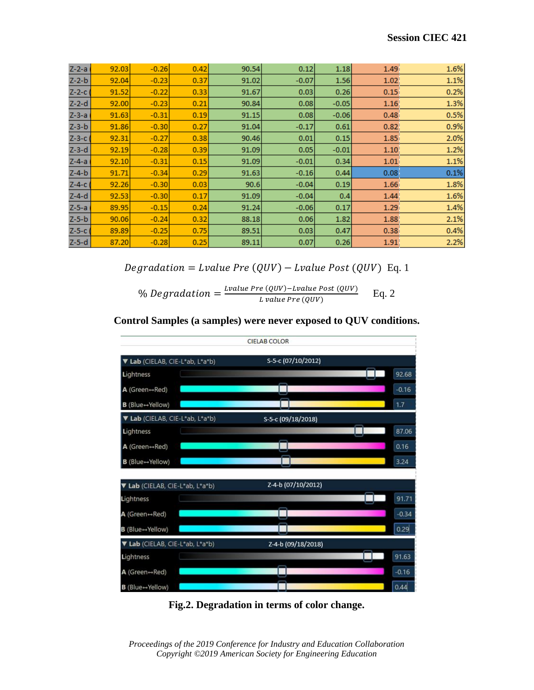| $Z-2-a$     | 92.03 | $-0.26$ | 0.42 | 90.54 | 0.12    | 1.18    | 1.49 | 1.6% |
|-------------|-------|---------|------|-------|---------|---------|------|------|
| $Z - 2 - b$ | 92.04 | $-0.23$ | 0.37 | 91.02 | $-0.07$ | 1.56    | 1.02 | 1.1% |
| $Z - 2 - c$ | 91.52 | $-0.22$ | 0.33 | 91.67 | 0.03    | 0.26    | 0.15 | 0.2% |
| $Z-2-d$     | 92.00 | $-0.23$ | 0.21 | 90.84 | 0.08    | $-0.05$ | 1.16 | 1.3% |
| $Z-3-a$     | 91.63 | $-0.31$ | 0.19 | 91.15 | 0.08    | $-0.06$ | 0.48 | 0.5% |
| $Z-3-b$     | 91.86 | $-0.30$ | 0.27 | 91.04 | $-0.17$ | 0.61    | 0.82 | 0.9% |
| $Z-3-c$     | 92.31 | $-0.27$ | 0.38 | 90.46 | 0.01    | 0.15    | 1.85 | 2.0% |
| $Z-3-d$     | 92.19 | $-0.28$ | 0.39 | 91.09 | 0.05    | $-0.01$ | 1.10 | 1.2% |
| $Z-4-a$     | 92.10 | $-0.31$ | 0.15 | 91.09 | $-0.01$ | 0.34    | 1.01 | 1.1% |
| $Z - 4 - b$ | 91.71 | $-0.34$ | 0.29 | 91.63 | $-0.16$ | 0.44    | 0.08 | 0.1% |
| $Z-4-c$     | 92.26 | $-0.30$ | 0.03 | 90.6  | $-0.04$ | 0.19    | 1.66 | 1.8% |
| $Z - 4 - d$ | 92.53 | $-0.30$ | 0.17 | 91.09 | $-0.04$ | 0.4     | 1.44 | 1.6% |
| $Z-5-a$     | 89.95 | $-0.15$ | 0.24 | 91.24 | $-0.06$ | 0.17    | 1.29 | 1.4% |
| $Z-5-b$     | 90.06 | $-0.24$ | 0.32 | 88.18 | 0.06    | 1.82    | 1.88 | 2.1% |
| $Z-5-c$     | 89.89 | $-0.25$ | 0.75 | 89.51 | 0.03    | 0.47    | 0.38 | 0.4% |
| $Z-5-d$     | 87.20 | $-0.28$ | 0.25 | 89.11 | 0.07    | 0.26    | 1.91 | 2.2% |

 $Degradation = Lvalue Pre (QUV) - Lvalue Post (QUV)$  Eq. 1

% Degradation  $=\frac{Value Pre (QUV)-Value Post (QUV)}{Value Prox (QUV)}$ L value Pre (QUV) Eq. 2





**Fig.2. Degradation in terms of color change.**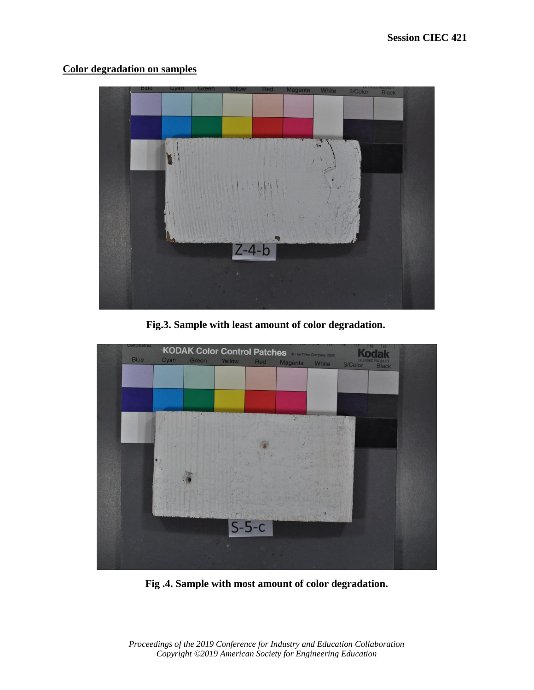## **Color degradation on samples**



**Fig.3. Sample with least amount of color degradation.**



**Fig .4. Sample with most amount of color degradation.**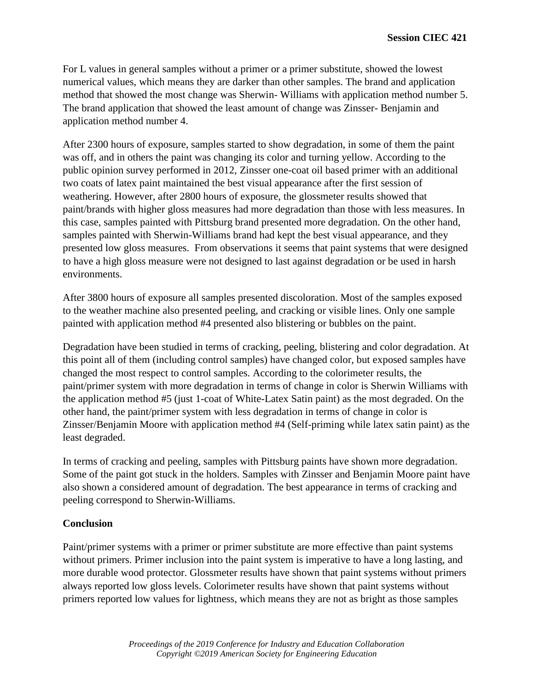For L values in general samples without a primer or a primer substitute, showed the lowest numerical values, which means they are darker than other samples. The brand and application method that showed the most change was Sherwin- Williams with application method number 5. The brand application that showed the least amount of change was Zinsser- Benjamin and application method number 4.

After 2300 hours of exposure, samples started to show degradation, in some of them the paint was off, and in others the paint was changing its color and turning yellow. According to the public opinion survey performed in 2012, Zinsser one-coat oil based primer with an additional two coats of latex paint maintained the best visual appearance after the first session of weathering. However, after 2800 hours of exposure, the glossmeter results showed that paint/brands with higher gloss measures had more degradation than those with less measures. In this case, samples painted with Pittsburg brand presented more degradation. On the other hand, samples painted with Sherwin-Williams brand had kept the best visual appearance, and they presented low gloss measures. From observations it seems that paint systems that were designed to have a high gloss measure were not designed to last against degradation or be used in harsh environments.

After 3800 hours of exposure all samples presented discoloration. Most of the samples exposed to the weather machine also presented peeling, and cracking or visible lines. Only one sample painted with application method #4 presented also blistering or bubbles on the paint.

Degradation have been studied in terms of cracking, peeling, blistering and color degradation. At this point all of them (including control samples) have changed color, but exposed samples have changed the most respect to control samples. According to the colorimeter results, the paint/primer system with more degradation in terms of change in color is Sherwin Williams with the application method #5 (just 1-coat of White-Latex Satin paint) as the most degraded. On the other hand, the paint/primer system with less degradation in terms of change in color is Zinsser/Benjamin Moore with application method #4 (Self-priming while latex satin paint) as the least degraded.

In terms of cracking and peeling, samples with Pittsburg paints have shown more degradation. Some of the paint got stuck in the holders. Samples with Zinsser and Benjamin Moore paint have also shown a considered amount of degradation. The best appearance in terms of cracking and peeling correspond to Sherwin-Williams.

### **Conclusion**

Paint/primer systems with a primer or primer substitute are more effective than paint systems without primers. Primer inclusion into the paint system is imperative to have a long lasting, and more durable wood protector. Glossmeter results have shown that paint systems without primers always reported low gloss levels. Colorimeter results have shown that paint systems without primers reported low values for lightness, which means they are not as bright as those samples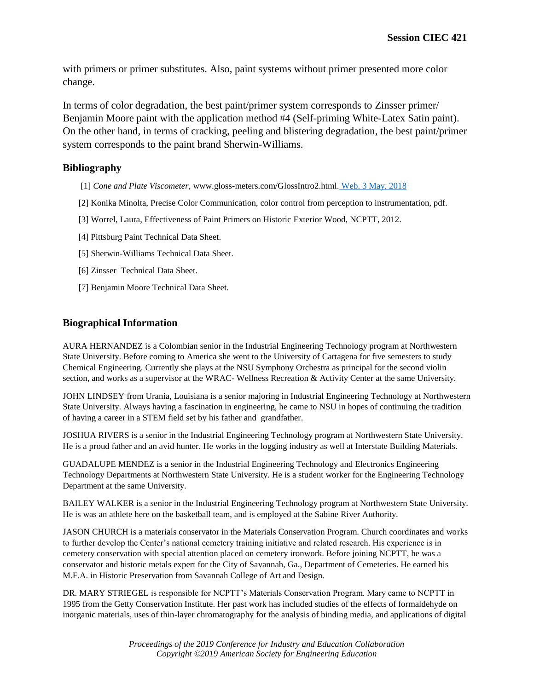with primers or primer substitutes. Also, paint systems without primer presented more color change.

In terms of color degradation, the best paint/primer system corresponds to Zinsser primer/ Benjamin Moore paint with the application method #4 (Self-priming White-Latex Satin paint). On the other hand, in terms of cracking, peeling and blistering degradation, the best paint/primer system corresponds to the paint brand Sherwin-Williams.

#### **Bibliography**

- [1] *Cone and Plate Viscometer*, www.gloss-meters.com/GlossIntro2.html. Web. 3 May. 2018
- [2] Konika Minolta, Precise Color Communication, color control from perception to instrumentation, pdf.
- [3] Worrel, Laura, Effectiveness of Paint Primers on Historic Exterior Wood, NCPTT, 2012.
- [4] Pittsburg Paint Technical Data Sheet.
- [5] Sherwin-Williams Technical Data Sheet.
- [6] Zinsser Technical Data Sheet.
- [7] Benjamin Moore Technical Data Sheet.

#### **Biographical Information**

AURA HERNANDEZ is a Colombian senior in the Industrial Engineering Technology program at Northwestern State University. Before coming to America she went to the University of Cartagena for five semesters to study Chemical Engineering. Currently she plays at the NSU Symphony Orchestra as principal for the second violin section, and works as a supervisor at the WRAC- Wellness Recreation & Activity Center at the same University.

JOHN LINDSEY from Urania, Louisiana is a senior majoring in Industrial Engineering Technology at Northwestern State University. Always having a fascination in engineering, he came to NSU in hopes of continuing the tradition of having a career in a STEM field set by his father and grandfather.

JOSHUA RIVERS is a senior in the Industrial Engineering Technology program at Northwestern State University. He is a proud father and an avid hunter. He works in the logging industry as well at Interstate Building Materials.

GUADALUPE MENDEZ is a senior in the Industrial Engineering Technology and Electronics Engineering Technology Departments at Northwestern State University. He is a student worker for the Engineering Technology Department at the same University.

BAILEY WALKER is a senior in the Industrial Engineering Technology program at Northwestern State University. He is was an athlete here on the basketball team, and is employed at the Sabine River Authority.

JASON CHURCH is a materials conservator in the Materials Conservation Program. Church coordinates and works to further develop the Center's national cemetery training initiative and related research. His experience is in cemetery conservation with special attention placed on cemetery ironwork. Before joining NCPTT, he was a conservator and historic metals expert for the City of Savannah, Ga., Department of Cemeteries. He earned his M.F.A. in Historic Preservation from Savannah College of Art and Design.

DR. MARY STRIEGEL is responsible for NCPTT's Materials Conservation Program. Mary came to NCPTT in 1995 from the Getty Conservation Institute. Her past work has included studies of the effects of formaldehyde on inorganic materials, uses of thin-layer chromatography for the analysis of binding media, and applications of digital